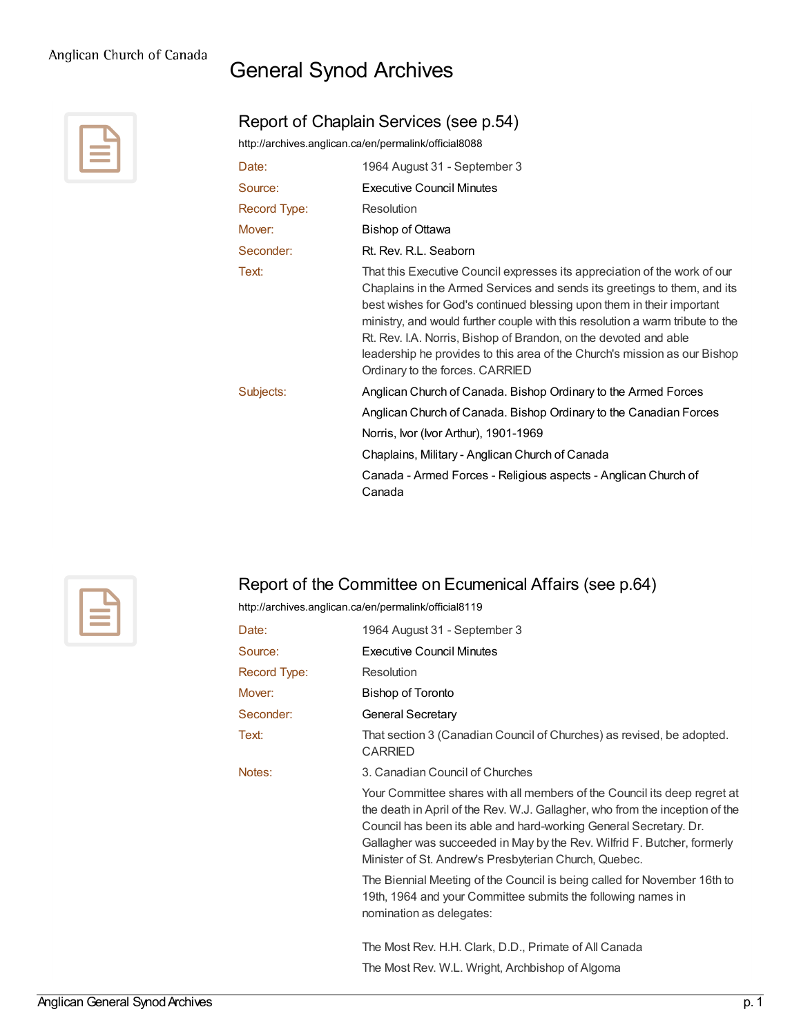## General Synod Archives

Report of Chaplain Services (see p.54)



|                     | http://archives.anglican.ca/en/permalink/official8088 |
|---------------------|-------------------------------------------------------|
| Date:               | 1964 August 31 - September 3                          |
| Source:             | Executive Council Minutes                             |
| <b>Record Type:</b> | Resolution                                            |
| Mover:              | <b>Bishop of Ottawa</b>                               |
| Seconder:           | Rt. Rev. R.L. Seaborn                                 |
| Text <sup>.</sup>   | That this Executive Council expresses its appreciatio |

appreciation of the work of our Chaplains in the Armed Services and sends its greetings to them, and its best wishes for God's continued blessing upon them in their important ministry, and would further couple with this resolution a warm tribute to the Rt. Rev. I.A. Norris, Bishop of Brandon, on the devoted and able leadership he provides to this area of the Church's mission as our Bishop Ordinary to the forces. CARRIED Subjects: [Anglican](http://archives.anglican.ca/en/list?q=&p=1&ps=&sort=title_sort+asc&topic_facet=Anglican+Church+of+Canada.++Bishop+Ordinary+to+the+Armed+Forces) Church of Canada. Bishop Ordinary to the Armed Forces

> Anglican Church of Canada. Bishop Ordinary to the [Canadian](http://archives.anglican.ca/en/list?q=&p=1&ps=&sort=title_sort+asc&topic_facet=Anglican+Church+of+Canada.++Bishop+Ordinary+to+the+Canadian+Forces) Forces Norris, Ivor (Ivor Arthur), [1901-1969](http://archives.anglican.ca/en/list?q=&p=1&ps=&sort=title_sort+asc&topic_facet=Norris%2c+Ivor+(Ivor+Arthur)%2c+1901-1969)

[Chaplains,](http://archives.anglican.ca/en/list?q=&p=1&ps=&sort=title_sort+asc&topic_facet=Chaplains%2c+Military+-+Anglican+Church+of+Canada) Military - Anglican Church of Canada

Canada - Armed Forces - [Religious](http://archives.anglican.ca/en/list?q=&p=1&ps=&sort=title_sort+asc&topic_facet=Canada+-+Armed+Forces+-+Religious+aspects+-+Anglican+Church+of+Canada) aspects - Anglican Church of Canada



## Report of the Committee on Ecumenical Affairs (see p.64)

<http://archives.anglican.ca/en/permalink/official8119>

| Date:        | 1964 August 31 - September 3                                                                                                                                                                                                                                                                                                                                      |
|--------------|-------------------------------------------------------------------------------------------------------------------------------------------------------------------------------------------------------------------------------------------------------------------------------------------------------------------------------------------------------------------|
| Source:      | Executive Council Minutes                                                                                                                                                                                                                                                                                                                                         |
| Record Type: | Resolution                                                                                                                                                                                                                                                                                                                                                        |
| Mover:       | Bishop of Toronto                                                                                                                                                                                                                                                                                                                                                 |
| Seconder:    | <b>General Secretary</b>                                                                                                                                                                                                                                                                                                                                          |
| Text:        | That section 3 (Canadian Council of Churches) as revised, be adopted.<br>CARRIED                                                                                                                                                                                                                                                                                  |
| Notes:       | 3. Canadian Council of Churches                                                                                                                                                                                                                                                                                                                                   |
|              | Your Committee shares with all members of the Council its deep regret at<br>the death in April of the Rev. W.J. Gallagher, who from the inception of the<br>Council has been its able and hard-working General Secretary. Dr.<br>Gallagher was succeeded in May by the Rev. Wilfrid F. Butcher, formerly<br>Minister of St. Andrew's Presbyterian Church, Quebec. |
|              | The Biennial Meeting of the Council is being called for November 16th to<br>19th, 1964 and your Committee submits the following names in<br>nomination as delegates:                                                                                                                                                                                              |
|              | The Most Rev. H.H. Clark, D.D., Primate of All Canada                                                                                                                                                                                                                                                                                                             |
|              | The Most Rev. W.L. Wright, Archbishop of Algoma                                                                                                                                                                                                                                                                                                                   |